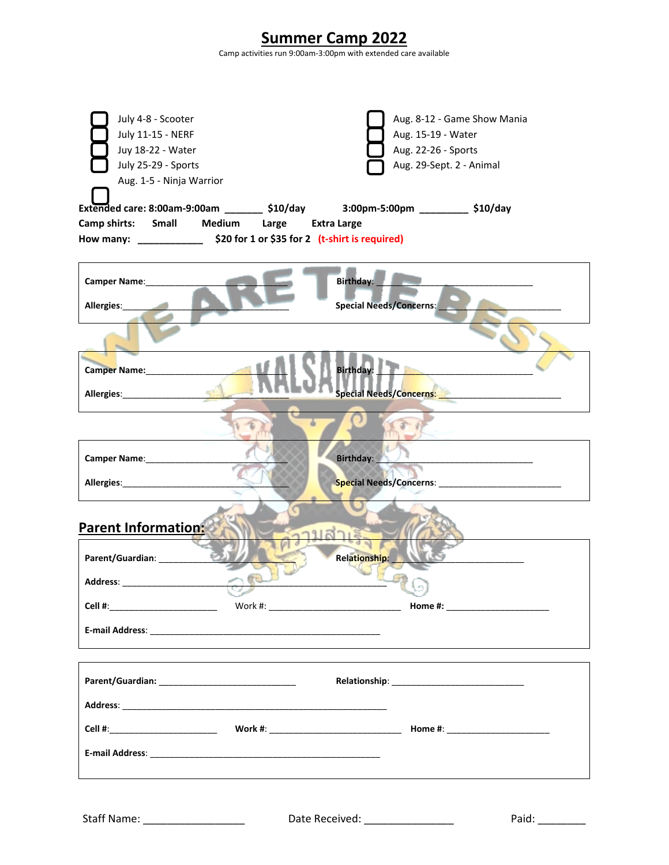| <b>Summer Camp 2022</b><br>Camp activities run 9:00am-3:00pm with extended care available                       |                                             |                                                                                                                                                                                         |  |  |
|-----------------------------------------------------------------------------------------------------------------|---------------------------------------------|-----------------------------------------------------------------------------------------------------------------------------------------------------------------------------------------|--|--|
| July 4-8 - Scooter<br>July 11-15 - NERF<br>Juy 18-22 - Water<br>July 25-29 - Sports<br>Aug. 1-5 - Ninja Warrior | Camp shirts: Small Medium Large Extra Large | Aug. 8-12 - Game Show Mania<br>Aug. 15-19 - Water<br>Aug. 22-26 - Sports<br>Aug. 29-Sept. 2 - Animal<br>Extended care: 8:00am-9:00am ________ \$10/day 3:00pm-5:00pm _________ \$10/day |  |  |
| Camper Name: 1997<br>Allergies:                                                                                 |                                             | Birthday:<br><b>Special Needs/Concerns:</b>                                                                                                                                             |  |  |
| Camper Name: 1997<br>Allergies: Management of Allergies:                                                        |                                             | Birthday:<br>Special Needs/Concerns:                                                                                                                                                    |  |  |
|                                                                                                                 |                                             |                                                                                                                                                                                         |  |  |
| Camper Name: ____________<br>Allergies: Management of Allergies:                                                |                                             | Birthday:<br><b>Special Needs/Concerns:</b>                                                                                                                                             |  |  |
| Parent Information:<br>Parent/Guardian: __________                                                              |                                             | Relationship:                                                                                                                                                                           |  |  |
|                                                                                                                 |                                             |                                                                                                                                                                                         |  |  |
| Cell #:__________________________                                                                               |                                             | Home #: ________________________                                                                                                                                                        |  |  |
|                                                                                                                 |                                             |                                                                                                                                                                                         |  |  |
|                                                                                                                 |                                             |                                                                                                                                                                                         |  |  |
|                                                                                                                 |                                             |                                                                                                                                                                                         |  |  |
|                                                                                                                 |                                             |                                                                                                                                                                                         |  |  |
|                                                                                                                 |                                             |                                                                                                                                                                                         |  |  |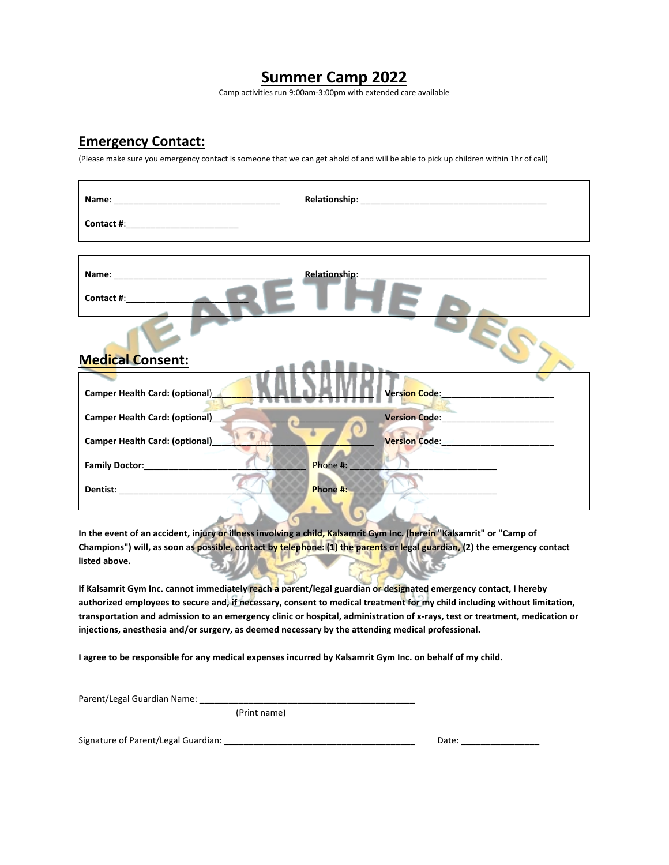## **Summer Camp 2022**

Camp activities run 9:00am-3:00pm with extended care available

### **Emergency Contact:**

(Please make sure you emergency contact is someone that we can get ahold of and will be able to pick up children within 1hr of call)

| Contact #: <b>All Accords</b>         | Relationship:                                                                                                                |
|---------------------------------------|------------------------------------------------------------------------------------------------------------------------------|
| <b>Medical Consent:</b>               |                                                                                                                              |
| <b>Camper Health Card: (optional)</b> | Vers <mark>ion Code: New York State State State State State State State State State State State State State State Sta</mark> |
| <b>Camper Health Card: (optional)</b> | Version Code: Version Code:                                                                                                  |
| <b>Camper Health Card: (optional)</b> |                                                                                                                              |
| Family Doctor:________________        | Phone #:                                                                                                                     |
|                                       | Phone #:<br>-                                                                                                                |

**In the event of an accident, injury or illness involving a child, Kalsamrit Gym Inc. (herein "Kalsamrit" or "Camp of Champions") will, as soon as possible, contact by telephone: (1) the parents or legal guardian, (2) the emergency contact listed above.** 

**If Kalsamrit Gym Inc. cannot immediately reach a parent/legal guardian or designated emergency contact, I hereby authorized employees to secure and, if necessary, consent to medical treatment for my child including without limitation, transportation and admission to an emergency clinic or hospital, administration of x-rays, test or treatment, medication or injections, anesthesia and/or surgery, as deemed necessary by the attending medical professional.**

**I agree to be responsible for any medical expenses incurred by Kalsamrit Gym Inc. on behalf of my child.**

 $\sigma$ 

| Parent/Legal Guardian Name: |  |
|-----------------------------|--|
|                             |  |

(Print name)

Signature of Parent/Legal Guardian: \_\_\_\_\_\_\_\_\_\_\_\_\_\_\_\_\_\_\_\_\_\_\_\_\_\_\_\_\_\_\_\_\_\_\_\_\_\_\_ Date: \_\_\_\_\_\_\_\_\_\_\_\_\_\_\_\_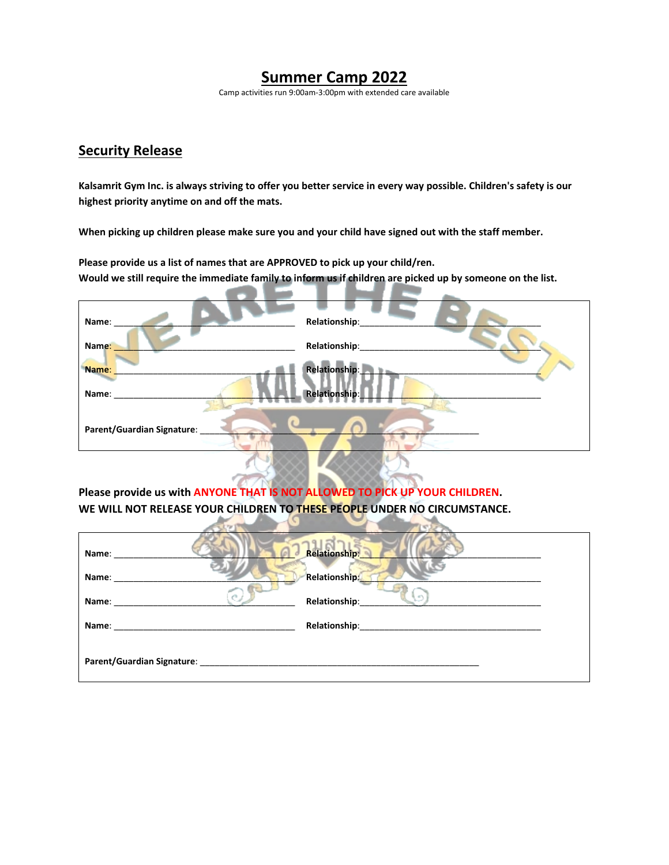## **Summer Camp 2022**

Camp activities run 9:00am-3:00pm with extended care available

### **Security Release**

**Kalsamrit Gym Inc. is always striving to offer you better service in every way possible. Children's safety is our highest priority anytime on and off the mats.** 

**When picking up children please make sure you and your child have signed out with the staff member.**

**Please provide us a list of names that are APPROVED to pick up your child/ren. Would we still require the immediate family to inform us if children are picked up by someone on the list.**

| Name:                      | Relationship:        |
|----------------------------|----------------------|
| Name:                      | Relationship:        |
| Name:                      | Relationship:        |
| Name:                      | <b>Relationship:</b> |
| Parent/Guardian Signature: |                      |
|                            |                      |

**Please provide us with ANYONE THAT IS NOT ALLOWED TO PICK UP YOUR CHILDREN. WE WILL NOT RELEASE YOUR CHILDREN TO THESE PEOPLE UNDER NO CIRCUMSTANCE.** 4 G I

 $\sim$   $\sim$ 

| Name:                      | <b>Relationship:</b>    |
|----------------------------|-------------------------|
| Name:                      | Relationship:           |
| Name:                      | - et h<br>Relationship: |
| Name:                      |                         |
| Parent/Guardian Signature: |                         |